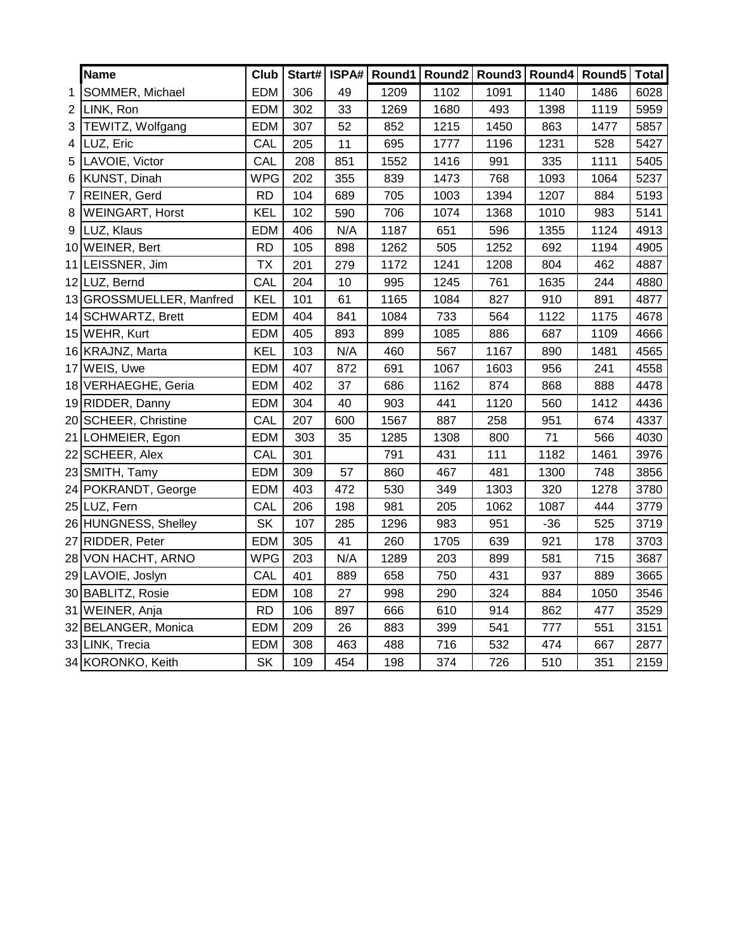|                | Name                     | Club       |     |     |      |      |      |       | Start#   ISPA#   Round1   Round2   Round3   Round4   Round5 | <b>Total</b> |
|----------------|--------------------------|------------|-----|-----|------|------|------|-------|-------------------------------------------------------------|--------------|
| 1              | SOMMER, Michael          | <b>EDM</b> | 306 | 49  | 1209 | 1102 | 1091 | 1140  | 1486                                                        | 6028         |
| $\overline{2}$ | LINK, Ron                | <b>EDM</b> | 302 | 33  | 1269 | 1680 | 493  | 1398  | 1119                                                        | 5959         |
| 3              | TEWITZ, Wolfgang         | <b>EDM</b> | 307 | 52  | 852  | 1215 | 1450 | 863   | 1477                                                        | 5857         |
| 4              | LUZ, Eric                | CAL        | 205 | 11  | 695  | 1777 | 1196 | 1231  | 528                                                         | 5427         |
| 5              | LAVOIE, Victor           | CAL        | 208 | 851 | 1552 | 1416 | 991  | 335   | 1111                                                        | 5405         |
| 6              | KUNST, Dinah             | <b>WPG</b> | 202 | 355 | 839  | 1473 | 768  | 1093  | 1064                                                        | 5237         |
| $\overline{7}$ | <b>REINER, Gerd</b>      | <b>RD</b>  | 104 | 689 | 705  | 1003 | 1394 | 1207  | 884                                                         | 5193         |
| 8              | <b>WEINGART, Horst</b>   | <b>KEL</b> | 102 | 590 | 706  | 1074 | 1368 | 1010  | 983                                                         | 5141         |
| 9              | LUZ, Klaus               | <b>EDM</b> | 406 | N/A | 1187 | 651  | 596  | 1355  | 1124                                                        | 4913         |
|                | 10 WEINER, Bert          | <b>RD</b>  | 105 | 898 | 1262 | 505  | 1252 | 692   | 1194                                                        | 4905         |
|                | 11 LEISSNER, Jim         | <b>TX</b>  | 201 | 279 | 1172 | 1241 | 1208 | 804   | 462                                                         | 4887         |
|                | 12 LUZ, Bernd            | CAL        | 204 | 10  | 995  | 1245 | 761  | 1635  | 244                                                         | 4880         |
|                | 13 GROSSMUELLER, Manfred | <b>KEL</b> | 101 | 61  | 1165 | 1084 | 827  | 910   | 891                                                         | 4877         |
|                | 14 SCHWARTZ, Brett       | <b>EDM</b> | 404 | 841 | 1084 | 733  | 564  | 1122  | 1175                                                        | 4678         |
|                | 15 WEHR, Kurt            | <b>EDM</b> | 405 | 893 | 899  | 1085 | 886  | 687   | 1109                                                        | 4666         |
|                | 16 KRAJNZ, Marta         | <b>KEL</b> | 103 | N/A | 460  | 567  | 1167 | 890   | 1481                                                        | 4565         |
|                | 17 WEIS, Uwe             | <b>EDM</b> | 407 | 872 | 691  | 1067 | 1603 | 956   | 241                                                         | 4558         |
|                | 18 VERHAEGHE, Geria      | <b>EDM</b> | 402 | 37  | 686  | 1162 | 874  | 868   | 888                                                         | 4478         |
|                | 19 RIDDER, Danny         | <b>EDM</b> | 304 | 40  | 903  | 441  | 1120 | 560   | 1412                                                        | 4436         |
|                | 20 SCHEER, Christine     | CAL        | 207 | 600 | 1567 | 887  | 258  | 951   | 674                                                         | 4337         |
|                | 21 LOHMEIER, Egon        | <b>EDM</b> | 303 | 35  | 1285 | 1308 | 800  | 71    | 566                                                         | 4030         |
|                | 22 SCHEER, Alex          | CAL        | 301 |     | 791  | 431  | 111  | 1182  | 1461                                                        | 3976         |
|                | 23 SMITH, Tamy           | <b>EDM</b> | 309 | 57  | 860  | 467  | 481  | 1300  | 748                                                         | 3856         |
|                | 24 POKRANDT, George      | <b>EDM</b> | 403 | 472 | 530  | 349  | 1303 | 320   | 1278                                                        | 3780         |
|                | 25 LUZ, Fern             | CAL        | 206 | 198 | 981  | 205  | 1062 | 1087  | 444                                                         | 3779         |
|                | 26 HUNGNESS, Shelley     | <b>SK</b>  | 107 | 285 | 1296 | 983  | 951  | $-36$ | 525                                                         | 3719         |
|                | 27 RIDDER, Peter         | <b>EDM</b> | 305 | 41  | 260  | 1705 | 639  | 921   | 178                                                         | 3703         |
|                | 28 VON HACHT, ARNO       | <b>WPG</b> | 203 | N/A | 1289 | 203  | 899  | 581   | 715                                                         | 3687         |
|                | 29 LAVOIE, Joslyn        | CAL        | 401 | 889 | 658  | 750  | 431  | 937   | 889                                                         | 3665         |
|                | 30 BABLITZ, Rosie        | <b>EDM</b> | 108 | 27  | 998  | 290  | 324  | 884   | 1050                                                        | 3546         |
|                | 31 WEINER, Anja          | <b>RD</b>  | 106 | 897 | 666  | 610  | 914  | 862   | 477                                                         | 3529         |
|                | 32 BELANGER, Monica      | <b>EDM</b> | 209 | 26  | 883  | 399  | 541  | 777   | 551                                                         | 3151         |
|                | 33 LINK, Trecia          | <b>EDM</b> | 308 | 463 | 488  | 716  | 532  | 474   | 667                                                         | 2877         |
|                | 34 KORONKO, Keith        | <b>SK</b>  | 109 | 454 | 198  | 374  | 726  | 510   | 351                                                         | 2159         |